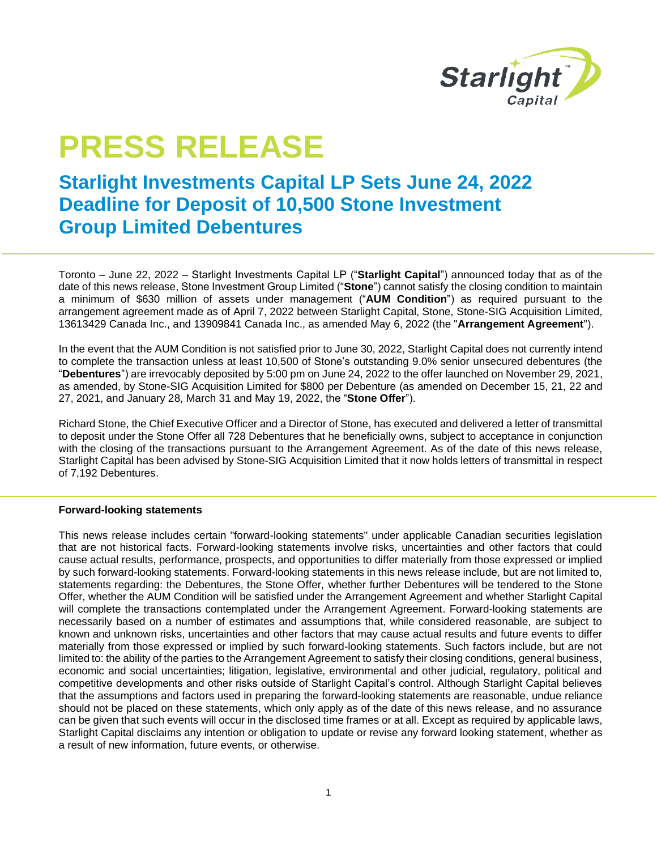

## **PRESS RELEASE**

## **Starlight Investments Capital LP Sets June 24, 2022 Deadline for Deposit of 10,500 Stone Investment Group Limited Debentures**

Toronto – June 22, 2022 – Starlight Investments Capital LP ("**Starlight Capital**") announced today that as of the date of this news release, Stone Investment Group Limited ("**Stone**") cannot satisfy the closing condition to maintain a minimum of \$630 million of assets under management ("**AUM Condition**") as required pursuant to the arrangement agreement made as of April 7, 2022 between Starlight Capital, Stone, Stone-SIG Acquisition Limited, 13613429 Canada Inc., and 13909841 Canada Inc., as amended May 6, 2022 (the "**Arrangement Agreement**").

In the event that the AUM Condition is not satisfied prior to June 30, 2022, Starlight Capital does not currently intend to complete the transaction unless at least 10,500 of Stone's outstanding 9.0% senior unsecured debentures (the "**Debentures**") are irrevocably deposited by 5:00 pm on June 24, 2022 to the offer launched on November 29, 2021, as amended, by Stone-SIG Acquisition Limited for \$800 per Debenture (as amended on December 15, 21, 22 and 27, 2021, and January 28, March 31 and May 19, 2022, the "**Stone Offer**").

Richard Stone, the Chief Executive Officer and a Director of Stone, has executed and delivered a letter of transmittal to deposit under the Stone Offer all 728 Debentures that he beneficially owns, subject to acceptance in conjunction with the closing of the transactions pursuant to the Arrangement Agreement. As of the date of this news release, Starlight Capital has been advised by Stone-SIG Acquisition Limited that it now holds letters of transmittal in respect of 7,192 Debentures.

## **Forward-looking statements**

This news release includes certain "forward-looking statements" under applicable Canadian securities legislation that are not historical facts. Forward-looking statements involve risks, uncertainties and other factors that could cause actual results, performance, prospects, and opportunities to differ materially from those expressed or implied by such forward-looking statements. Forward-looking statements in this news release include, but are not limited to, statements regarding: the Debentures, the Stone Offer, whether further Debentures will be tendered to the Stone Offer, whether the AUM Condition will be satisfied under the Arrangement Agreement and whether Starlight Capital will complete the transactions contemplated under the Arrangement Agreement. Forward-looking statements are necessarily based on a number of estimates and assumptions that, while considered reasonable, are subject to known and unknown risks, uncertainties and other factors that may cause actual results and future events to differ materially from those expressed or implied by such forward-looking statements. Such factors include, but are not limited to: the ability of the parties to the Arrangement Agreement to satisfy their closing conditions, general business, economic and social uncertainties; litigation, legislative, environmental and other judicial, regulatory, political and competitive developments and other risks outside of Starlight Capital's control. Although Starlight Capital believes that the assumptions and factors used in preparing the forward-looking statements are reasonable, undue reliance should not be placed on these statements, which only apply as of the date of this news release, and no assurance can be given that such events will occur in the disclosed time frames or at all. Except as required by applicable laws, Starlight Capital disclaims any intention or obligation to update or revise any forward looking statement, whether as a result of new information, future events, or otherwise.